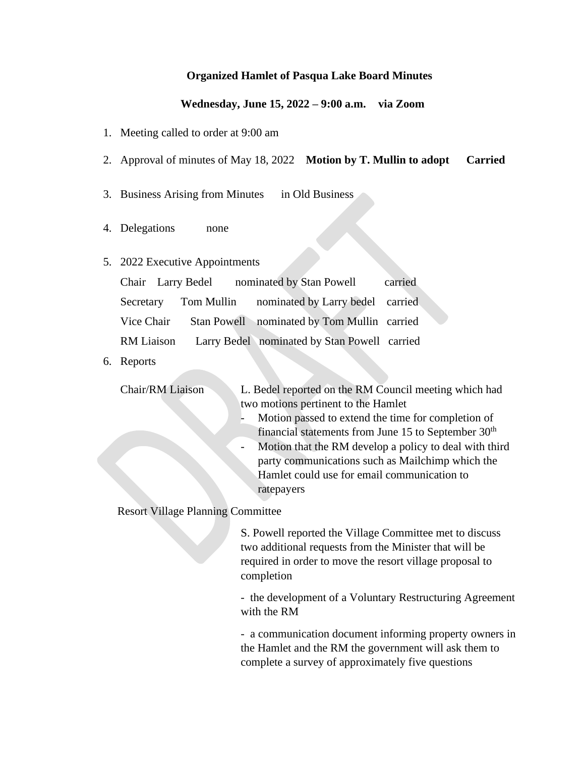# **Organized Hamlet of Pasqua Lake Board Minutes**

# **Wednesday, June 15, 2022 – 9:00 a.m. via Zoom**

- 1. Meeting called to order at 9:00 am
- 2. Approval of minutes of May 18, 2022 **Motion by T. Mullin to adopt Carried**
- 3. Business Arising from Minutes in Old Business
- 4. Delegations none
- 5. 2022 Executive Appointments

|            | Chair Larry Bedel nominated by Stan Powell              | carried |
|------------|---------------------------------------------------------|---------|
|            | Secretary Tom Mullin nominated by Larry bedel carried   |         |
| Vice Chair | Stan Powell nominated by Tom Mullin carried             |         |
|            | RM Liaison Larry Bedel nominated by Stan Powell carried |         |

6. Reports

- Chair/RM Liaison L. Bedel reported on the RM Council meeting which had two motions pertinent to the Hamlet
	- Motion passed to extend the time for completion of financial statements from June 15 to September  $30<sup>th</sup>$
	- Motion that the RM develop a policy to deal with third party communications such as Mailchimp which the Hamlet could use for email communication to ratepayers

Resort Village Planning Committee

S. Powell reported the Village Committee met to discuss two additional requests from the Minister that will be required in order to move the resort village proposal to completion

- the development of a Voluntary Restructuring Agreement with the RM

- a communication document informing property owners in the Hamlet and the RM the government will ask them to complete a survey of approximately five questions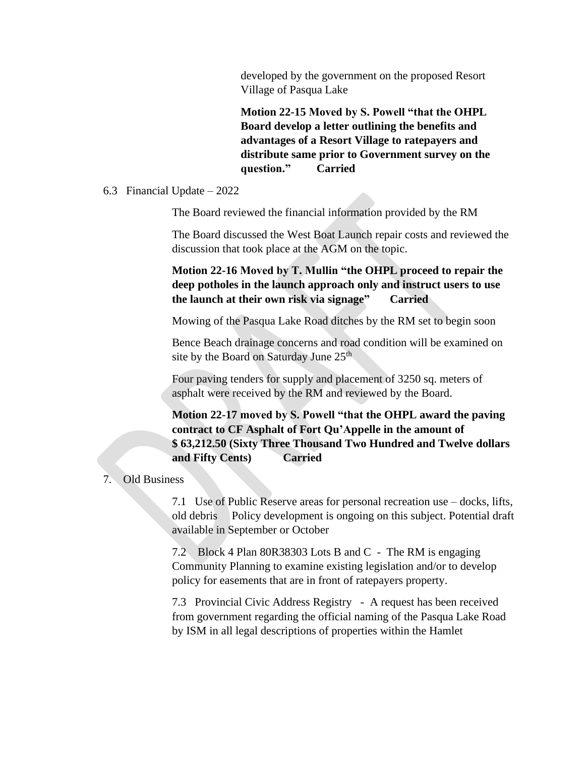developed by the government on the proposed Resort Village of Pasqua Lake

**Motion 22-15 Moved by S. Powell "that the OHPL Board develop a letter outlining the benefits and advantages of a Resort Village to ratepayers and distribute same prior to Government survey on the question." Carried**

### 6.3 Financial Update – 2022

The Board reviewed the financial information provided by the RM

The Board discussed the West Boat Launch repair costs and reviewed the discussion that took place at the AGM on the topic.

**Motion 22-16 Moved by T. Mullin "the OHPL proceed to repair the deep potholes in the launch approach only and instruct users to use the launch at their own risk via signage" Carried**

Mowing of the Pasqua Lake Road ditches by the RM set to begin soon

Bence Beach drainage concerns and road condition will be examined on site by the Board on Saturday June  $25<sup>th</sup>$ 

Four paving tenders for supply and placement of 3250 sq. meters of asphalt were received by the RM and reviewed by the Board.

**Motion 22-17 moved by S. Powell "that the OHPL award the paving contract to CF Asphalt of Fort Qu'Appelle in the amount of \$ 63,212.50 (Sixty Three Thousand Two Hundred and Twelve dollars and Fifty Cents) Carried**

#### 7. Old Business

7.1 Use of Public Reserve areas for personal recreation use – docks, lifts, old debris Policy development is ongoing on this subject. Potential draft available in September or October

7.2 Block 4 Plan 80R38303 Lots B and C - The RM is engaging Community Planning to examine existing legislation and/or to develop policy for easements that are in front of ratepayers property.

7.3 Provincial Civic Address Registry - A request has been received from government regarding the official naming of the Pasqua Lake Road by ISM in all legal descriptions of properties within the Hamlet